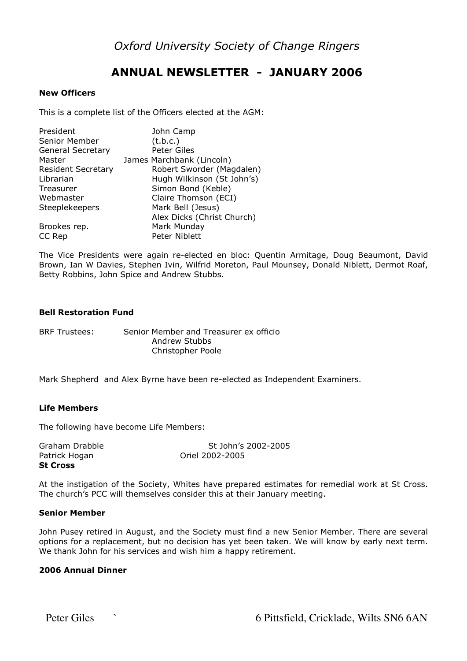Oxford University Society of Change Ringers

# ANNUAL NEWSLETTER - JANUARY 2006

## New Officers

This is a complete list of the Officers elected at the AGM:

| President<br>Senior Member | John Camp<br>(t.b.c.)      |
|----------------------------|----------------------------|
| <b>General Secretary</b>   | Peter Giles                |
| Master                     | James Marchbank (Lincoln)  |
| <b>Resident Secretary</b>  | Robert Sworder (Magdalen)  |
| Librarian                  | Hugh Wilkinson (St John's) |
| Treasurer                  | Simon Bond (Keble)         |
| Webmaster                  | Claire Thomson (ECI)       |
| Steeplekeepers             | Mark Bell (Jesus)          |
|                            | Alex Dicks (Christ Church) |
| Brookes rep.               | Mark Munday                |
| CC Rep                     | Peter Niblett              |

The Vice Presidents were again re-elected en bloc: Quentin Armitage, Doug Beaumont, David Brown, Ian W Davies, Stephen Ivin, Wilfrid Moreton, Paul Mounsey, Donald Niblett, Dermot Roaf, Betty Robbins, John Spice and Andrew Stubbs.

# Bell Restoration Fund

BRF Trustees: Senior Member and Treasurer ex officio Andrew Stubbs Christopher Poole

Mark Shepherd and Alex Byrne have been re-elected as Independent Examiners.

# Life Members

The following have become Life Members:

| <b>St Cross</b> |                     |  |  |
|-----------------|---------------------|--|--|
| Patrick Hogan   | Oriel 2002-2005     |  |  |
| Graham Drabble  | St John's 2002-2005 |  |  |

At the instigation of the Society, Whites have prepared estimates for remedial work at St Cross. The church's PCC will themselves consider this at their January meeting.

#### Senior Member

John Pusey retired in August, and the Society must find a new Senior Member. There are several options for a replacement, but no decision has yet been taken. We will know by early next term. We thank John for his services and wish him a happy retirement.

## 2006 Annual Dinner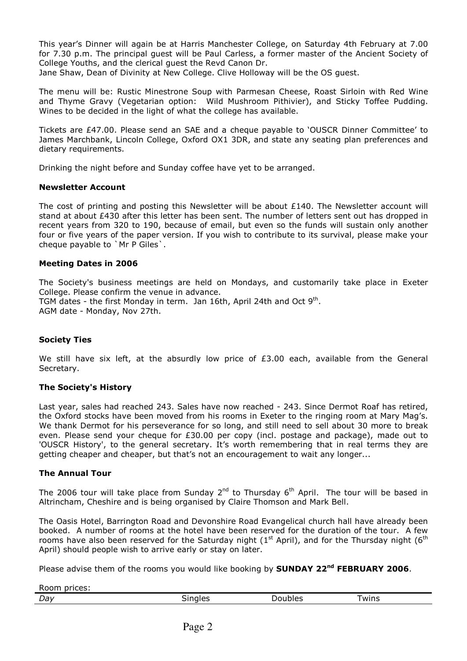This year's Dinner will again be at Harris Manchester College, on Saturday 4th February at 7.00 for 7.30 p.m. The principal guest will be Paul Carless, a former master of the Ancient Society of College Youths, and the clerical guest the Revd Canon Dr.

Jane Shaw, Dean of Divinity at New College. Clive Holloway will be the OS guest.

The menu will be: Rustic Minestrone Soup with Parmesan Cheese, Roast Sirloin with Red Wine and Thyme Gravy (Vegetarian option: Wild Mushroom Pithivier), and Sticky Toffee Pudding. Wines to be decided in the light of what the college has available.

Tickets are £47.00. Please send an SAE and a cheque payable to 'OUSCR Dinner Committee' to James Marchbank, Lincoln College, Oxford OX1 3DR, and state any seating plan preferences and dietary requirements.

Drinking the night before and Sunday coffee have yet to be arranged.

# Newsletter Account

The cost of printing and posting this Newsletter will be about £140. The Newsletter account will stand at about £430 after this letter has been sent. The number of letters sent out has dropped in recent years from 320 to 190, because of email, but even so the funds will sustain only another four or five years of the paper version. If you wish to contribute to its survival, please make your cheque payable to `Mr P Giles`.

#### Meeting Dates in 2006

The Society's business meetings are held on Mondays, and customarily take place in Exeter College. Please confirm the venue in advance. TGM dates - the first Monday in term. Jan 16th, April 24th and Oct  $9<sup>th</sup>$ . AGM date - Monday, Nov 27th.

# Society Ties

We still have six left, at the absurdly low price of  $£3.00$  each, available from the General Secretary.

# The Society's History

Last year, sales had reached 243. Sales have now reached - 243. Since Dermot Roaf has retired, the Oxford stocks have been moved from his rooms in Exeter to the ringing room at Mary Mag's. We thank Dermot for his perseverance for so long, and still need to sell about 30 more to break even. Please send your cheque for £30.00 per copy (incl. postage and package), made out to 'OUSCR History', to the general secretary. It's worth remembering that in real terms they are getting cheaper and cheaper, but that's not an encouragement to wait any longer...

#### The Annual Tour

The 2006 tour will take place from Sunday  $2^{nd}$  to Thursday  $6^{th}$  April. The tour will be based in Altrincham, Cheshire and is being organised by Claire Thomson and Mark Bell.

The Oasis Hotel, Barrington Road and Devonshire Road Evangelical church hall have already been booked. A number of rooms at the hotel have been reserved for the duration of the tour. A few rooms have also been reserved for the Saturday night ( $1<sup>st</sup>$  April), and for the Thursday night ( $6<sup>th</sup>$ April) should people wish to arrive early or stay on later.

Please advise them of the rooms you would like booking by **SUNDAY 22<sup>nd</sup> FEBRUARY 2006**.

| Roo<br>oricas "<br>. |              |       |      |
|----------------------|--------------|-------|------|
| Day                  | - -<br>nales | ibles | wins |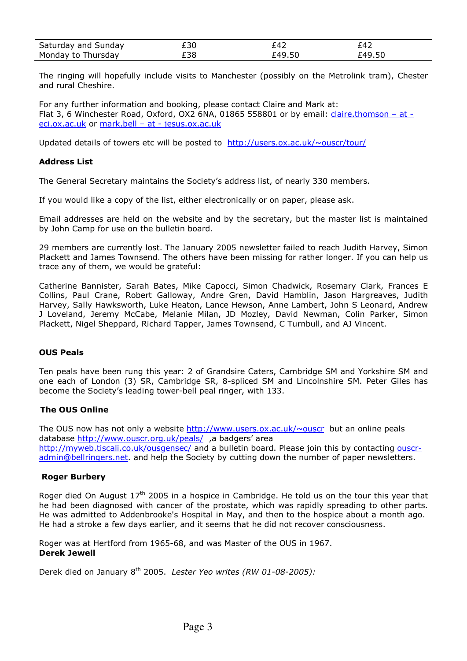| Saturday and Sunday | とうし | ั42  | -47 |
|---------------------|-----|------|-----|
| Monday to Thursday  | -38 | -49. |     |

The ringing will hopefully include visits to Manchester (possibly on the Metrolink tram), Chester and rural Cheshire.

For any further information and booking, please contact Claire and Mark at: Flat 3, 6 Winchester Road, Oxford, OX2 6NA, 01865 558801 or by email: claire.thomson – at eci.ox.ac.uk or mark.bell - at - jesus.ox.ac.uk

Updated details of towers etc will be posted to http://users.ox.ac.uk/~ouscr/tour/

# Address List

The General Secretary maintains the Society's address list, of nearly 330 members.

If you would like a copy of the list, either electronically or on paper, please ask.

Email addresses are held on the website and by the secretary, but the master list is maintained by John Camp for use on the bulletin board.

29 members are currently lost. The January 2005 newsletter failed to reach Judith Harvey, Simon Plackett and James Townsend. The others have been missing for rather longer. If you can help us trace any of them, we would be grateful:

Catherine Bannister, Sarah Bates, Mike Capocci, Simon Chadwick, Rosemary Clark, Frances E Collins, Paul Crane, Robert Galloway, Andre Gren, David Hamblin, Jason Hargreaves, Judith Harvey, Sally Hawksworth, Luke Heaton, Lance Hewson, Anne Lambert, John S Leonard, Andrew J Loveland, Jeremy McCabe, Melanie Milan, JD Mozley, David Newman, Colin Parker, Simon Plackett, Nigel Sheppard, Richard Tapper, James Townsend, C Turnbull, and AJ Vincent.

# OUS Peals

Ten peals have been rung this year: 2 of Grandsire Caters, Cambridge SM and Yorkshire SM and one each of London (3) SR, Cambridge SR, 8-spliced SM and Lincolnshire SM. Peter Giles has become the Society's leading tower-bell peal ringer, with 133.

# The OUS Online

The OUS now has not only a website http://www.users.ox.ac.uk/ $\sim$ ouscr but an online peals database http://www.ouscr.org.uk/peals/, a badgers' area http://myweb.tiscali.co.uk/ousgensec/ and a bulletin board. Please join this by contacting ouscr-

admin@bellringers.net. and help the Society by cutting down the number of paper newsletters.

# Roger Burbery

Roger died On August  $17<sup>th</sup>$  2005 in a hospice in Cambridge. He told us on the tour this year that he had been diagnosed with cancer of the prostate, which was rapidly spreading to other parts. He was admitted to Addenbrooke's Hospital in May, and then to the hospice about a month ago. He had a stroke a few days earlier, and it seems that he did not recover consciousness.

Roger was at Hertford from 1965-68, and was Master of the OUS in 1967. Derek Jewell

Derek died on January 8<sup>th</sup> 2005. Lester Yeo writes (RW 01-08-2005):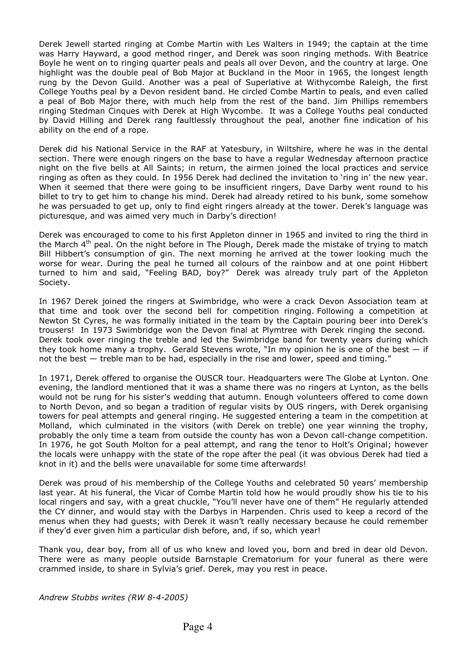Derek Jewell started ringing at Combe Martin with Les Walters in 1949; the captain at the time was Harry Hayward, a good method ringer, and Derek was soon ringing methods. With Beatrice Boyle he went on to ringing quarter peals and peals all over Devon, and the country at large. One highlight was the double peal of Bob Major at Buckland in the Moor in 1965, the longest length rung by the Devon Guild. Another was a peal of Superlative at Withycombe Raleigh, the first College Youths peal by a Devon resident band. He circled Combe Martin to peals, and even called a peal of Bob Major there, with much help from the rest of the band. Jim Phillips remembers ringing Stedman Cinques with Derek at High Wycombe. It was a College Youths peal conducted by David Hilling and Derek rang faultlessly throughout the peal, another fine indication of his ability on the end of a rope.

Derek did his National Service in the RAF at Yatesbury, in Wiltshire, where he was in the dental section. There were enough ringers on the base to have a regular Wednesday afternoon practice night on the five bells at All Saints; in return, the airmen joined the local practices and service ringing as often as they could. In 1956 Derek had declined the invitation to 'ring in' the new year. When it seemed that there were going to be insufficient ringers, Dave Darby went round to his billet to try to get him to change his mind. Derek had already retired to his bunk, some somehow he was persuaded to get up, only to find eight ringers already at the tower. Derek's language was picturesque, and was aimed very much in Darby's direction!

Derek was encouraged to come to his first Appleton dinner in 1965 and invited to ring the third in the March 4<sup>th</sup> peal. On the night before in The Plough, Derek made the mistake of trying to match Bill Hibbert's consumption of gin. The next morning he arrived at the tower looking much the worse for wear. During the peal he turned all colours of the rainbow and at one point Hibbert turned to him and said, "Feeling BAD, boy?" Derek was already truly part of the Appleton Society.

In 1967 Derek joined the ringers at Swimbridge, who were a crack Devon Association team at that time and took over the second bell for competition ringing. Following a competition at Newton St Cyres, he was formally initiated in the team by the Captain pouring beer into Derek's trousers! In 1973 Swimbridge won the Devon final at Plymtree with Derek ringing the second. Derek took over ringing the treble and led the Swimbridge band for twenty years during which they took home many a trophy. Gerald Stevens wrote, "In my opinion he is one of the best  $-$  if not the best — treble man to be had, especially in the rise and lower, speed and timing."

In 1971, Derek offered to organise the OUSCR tour. Headquarters were The Globe at Lynton. One evening, the landlord mentioned that it was a shame there was no ringers at Lynton, as the bells would not be rung for his sister's wedding that autumn. Enough volunteers offered to come down to North Devon, and so began a tradition of regular visits by OUS ringers, with Derek organising towers for peal attempts and general ringing. He suggested entering a team in the competition at Molland, which culminated in the visitors (with Derek on treble) one year winning the trophy, probably the only time a team from outside the county has won a Devon call-change competition. In 1976, he got South Molton for a peal attempt, and rang the tenor to Holt's Original; however the locals were unhappy with the state of the rope after the peal (it was obvious Derek had tied a knot in it) and the bells were unavailable for some time afterwards!

Derek was proud of his membership of the College Youths and celebrated 50 years' membership last year. At his funeral, the Vicar of Combe Martin told how he would proudly show his tie to his local ringers and say, with a great chuckle, "You'll never have one of them" He regularly attended the CY dinner, and would stay with the Darbys in Harpenden. Chris used to keep a record of the menus when they had guests; with Derek it wasn't really necessary because he could remember if they'd ever given him a particular dish before, and, if so, which year!

Thank you, dear boy, from all of us who knew and loved you, born and bred in dear old Devon. There were as many people outside Barnstaple Crematorium for your funeral as there were crammed inside, to share in Sylvia's grief. Derek, may you rest in peace.

Andrew Stubbs writes (RW 8-4-2005)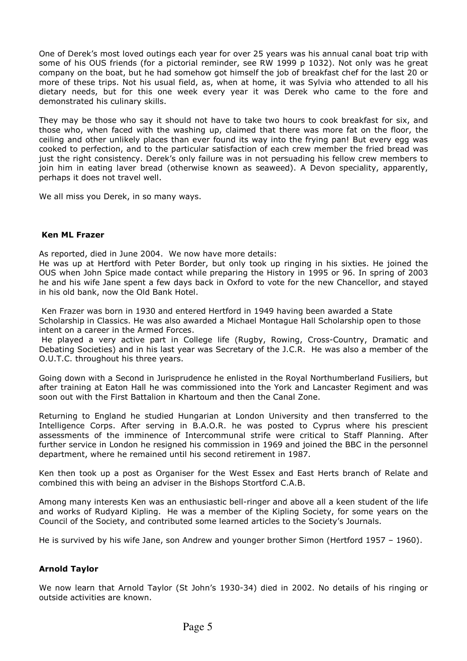One of Derek's most loved outings each year for over 25 years was his annual canal boat trip with some of his OUS friends (for a pictorial reminder, see RW 1999 p 1032). Not only was he great company on the boat, but he had somehow got himself the job of breakfast chef for the last 20 or more of these trips. Not his usual field, as, when at home, it was Sylvia who attended to all his dietary needs, but for this one week every year it was Derek who came to the fore and demonstrated his culinary skills.

They may be those who say it should not have to take two hours to cook breakfast for six, and those who, when faced with the washing up, claimed that there was more fat on the floor, the ceiling and other unlikely places than ever found its way into the frying pan! But every egg was cooked to perfection, and to the particular satisfaction of each crew member the fried bread was just the right consistency. Derek's only failure was in not persuading his fellow crew members to join him in eating laver bread (otherwise known as seaweed). A Devon speciality, apparently, perhaps it does not travel well.

We all miss you Derek, in so many ways.

# Ken ML Frazer

As reported, died in June 2004. We now have more details:

He was up at Hertford with Peter Border, but only took up ringing in his sixties. He joined the OUS when John Spice made contact while preparing the History in 1995 or 96. In spring of 2003 he and his wife Jane spent a few days back in Oxford to vote for the new Chancellor, and stayed in his old bank, now the Old Bank Hotel.

 Ken Frazer was born in 1930 and entered Hertford in 1949 having been awarded a State Scholarship in Classics. He was also awarded a Michael Montague Hall Scholarship open to those intent on a career in the Armed Forces.

 He played a very active part in College life (Rugby, Rowing, Cross-Country, Dramatic and Debating Societies) and in his last year was Secretary of the J.C.R. He was also a member of the O.U.T.C. throughout his three years.

Going down with a Second in Jurisprudence he enlisted in the Royal Northumberland Fusiliers, but after training at Eaton Hall he was commissioned into the York and Lancaster Regiment and was soon out with the First Battalion in Khartoum and then the Canal Zone.

Returning to England he studied Hungarian at London University and then transferred to the Intelligence Corps. After serving in B.A.O.R. he was posted to Cyprus where his prescient assessments of the imminence of Intercommunal strife were critical to Staff Planning. After further service in London he resigned his commission in 1969 and joined the BBC in the personnel department, where he remained until his second retirement in 1987.

Ken then took up a post as Organiser for the West Essex and East Herts branch of Relate and combined this with being an adviser in the Bishops Stortford C.A.B.

Among many interests Ken was an enthusiastic bell-ringer and above all a keen student of the life and works of Rudyard Kipling. He was a member of the Kipling Society, for some years on the Council of the Society, and contributed some learned articles to the Society's Journals.

He is survived by his wife Jane, son Andrew and younger brother Simon (Hertford 1957 – 1960).

# Arnold Taylor

We now learn that Arnold Taylor (St John's 1930-34) died in 2002. No details of his ringing or outside activities are known.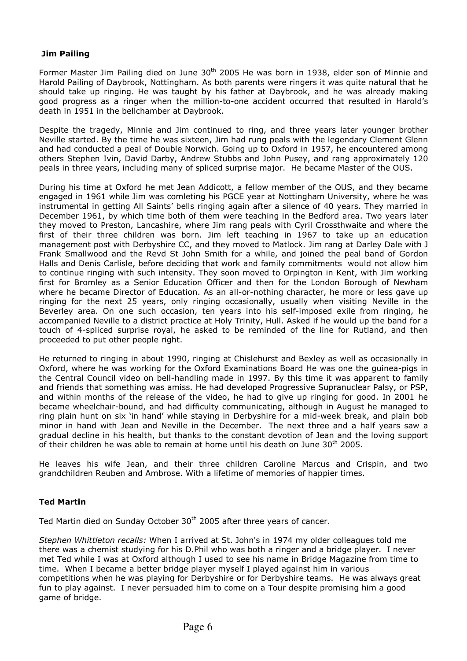# Jim Pailing

Former Master Jim Pailing died on June 30<sup>th</sup> 2005 He was born in 1938, elder son of Minnie and Harold Pailing of Daybrook, Nottingham. As both parents were ringers it was quite natural that he should take up ringing. He was taught by his father at Daybrook, and he was already making good progress as a ringer when the million-to-one accident occurred that resulted in Harold's death in 1951 in the bellchamber at Daybrook.

Despite the tragedy, Minnie and Jim continued to ring, and three years later younger brother Neville started. By the time he was sixteen, Jim had rung peals with the legendary Clement Glenn and had conducted a peal of Double Norwich. Going up to Oxford in 1957, he encountered among others Stephen Ivin, David Darby, Andrew Stubbs and John Pusey, and rang approximately 120 peals in three years, including many of spliced surprise major. He became Master of the OUS.

During his time at Oxford he met Jean Addicott, a fellow member of the OUS, and they became engaged in 1961 while Jim was comleting his PGCE year at Nottingham University, where he was instrumental in getting All Saints' bells ringing again after a silence of 40 years. They married in December 1961, by which time both of them were teaching in the Bedford area. Two years later they moved to Preston, Lancashire, where Jim rang peals with Cyril Crossthwaite and where the first of their three children was born. Jim left teaching in 1967 to take up an education management post with Derbyshire CC, and they moved to Matlock. Jim rang at Darley Dale with J Frank Smallwood and the Revd St John Smith for a while, and joined the peal band of Gordon Halls and Denis Carlisle, before deciding that work and family commitments would not allow him to continue ringing with such intensity. They soon moved to Orpington in Kent, with Jim working first for Bromley as a Senior Education Officer and then for the London Borough of Newham where he became Director of Education. As an all-or-nothing character, he more or less gave up ringing for the next 25 years, only ringing occasionally, usually when visiting Neville in the Beverley area. On one such occasion, ten years into his self-imposed exile from ringing, he accompanied Neville to a district practice at Holy Trinity, Hull. Asked if he would up the band for a touch of 4-spliced surprise royal, he asked to be reminded of the line for Rutland, and then proceeded to put other people right.

He returned to ringing in about 1990, ringing at Chislehurst and Bexley as well as occasionally in Oxford, where he was working for the Oxford Examinations Board He was one the guinea-pigs in the Central Council video on bell-handling made in 1997. By this time it was apparent to family and friends that something was amiss. He had developed Progressive Supranuclear Palsy, or PSP, and within months of the release of the video, he had to give up ringing for good. In 2001 he became wheelchair-bound, and had difficulty communicating, although in August he managed to ring plain hunt on six 'in hand' while staying in Derbyshire for a mid-week break, and plain bob minor in hand with Jean and Neville in the December. The next three and a half years saw a gradual decline in his health, but thanks to the constant devotion of Jean and the loving support of their children he was able to remain at home until his death on June 30<sup>th</sup> 2005.

He leaves his wife Jean, and their three children Caroline Marcus and Crispin, and two grandchildren Reuben and Ambrose. With a lifetime of memories of happier times.

# Ted Martin

Ted Martin died on Sunday October 30<sup>th</sup> 2005 after three years of cancer.

Stephen Whittleton recalls: When I arrived at St. John's in 1974 my older colleagues told me there was a chemist studying for his D.Phil who was both a ringer and a bridge player. I never met Ted while I was at Oxford although I used to see his name in Bridge Magazine from time to time. When I became a better bridge player myself I played against him in various competitions when he was playing for Derbyshire or for Derbyshire teams. He was always great fun to play against. I never persuaded him to come on a Tour despite promising him a good game of bridge.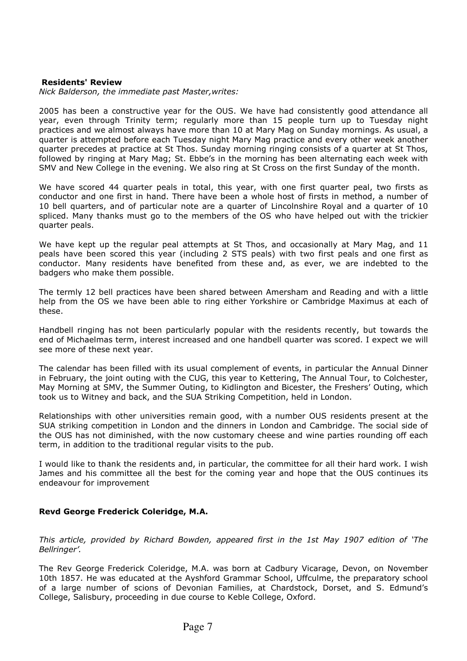## Residents' Review

Nick Balderson, the immediate past Master,writes:

2005 has been a constructive year for the OUS. We have had consistently good attendance all year, even through Trinity term; regularly more than 15 people turn up to Tuesday night practices and we almost always have more than 10 at Mary Mag on Sunday mornings. As usual, a quarter is attempted before each Tuesday night Mary Mag practice and every other week another quarter precedes at practice at St Thos. Sunday morning ringing consists of a quarter at St Thos, followed by ringing at Mary Mag; St. Ebbe's in the morning has been alternating each week with SMV and New College in the evening. We also ring at St Cross on the first Sunday of the month.

We have scored 44 quarter peals in total, this year, with one first quarter peal, two firsts as conductor and one first in hand. There have been a whole host of firsts in method, a number of 10 bell quarters, and of particular note are a quarter of Lincolnshire Royal and a quarter of 10 spliced. Many thanks must go to the members of the OS who have helped out with the trickier quarter peals.

We have kept up the regular peal attempts at St Thos, and occasionally at Mary Mag, and 11 peals have been scored this year (including 2 STS peals) with two first peals and one first as conductor. Many residents have benefited from these and, as ever, we are indebted to the badgers who make them possible.

The termly 12 bell practices have been shared between Amersham and Reading and with a little help from the OS we have been able to ring either Yorkshire or Cambridge Maximus at each of these.

Handbell ringing has not been particularly popular with the residents recently, but towards the end of Michaelmas term, interest increased and one handbell quarter was scored. I expect we will see more of these next year.

The calendar has been filled with its usual complement of events, in particular the Annual Dinner in February, the joint outing with the CUG, this year to Kettering, The Annual Tour, to Colchester, May Morning at SMV, the Summer Outing, to Kidlington and Bicester, the Freshers' Outing, which took us to Witney and back, and the SUA Striking Competition, held in London.

Relationships with other universities remain good, with a number OUS residents present at the SUA striking competition in London and the dinners in London and Cambridge. The social side of the OUS has not diminished, with the now customary cheese and wine parties rounding off each term, in addition to the traditional regular visits to the pub.

I would like to thank the residents and, in particular, the committee for all their hard work. I wish James and his committee all the best for the coming year and hope that the OUS continues its endeavour for improvement

# Revd George Frederick Coleridge, M.A.

This article, provided by Richard Bowden, appeared first in the 1st May 1907 edition of 'The Bellringer'.

The Rev George Frederick Coleridge, M.A. was born at Cadbury Vicarage, Devon, on November 10th 1857. He was educated at the Ayshford Grammar School, Uffculme, the preparatory school of a large number of scions of Devonian Families, at Chardstock, Dorset, and S. Edmund's College, Salisbury, proceeding in due course to Keble College, Oxford.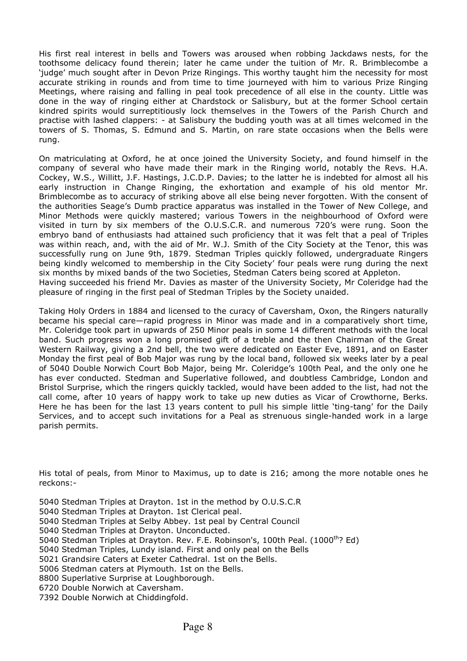His first real interest in bells and Towers was aroused when robbing Jackdaws nests, for the toothsome delicacy found therein; later he came under the tuition of Mr. R. Brimblecombe a 'judge' much sought after in Devon Prize Ringings. This worthy taught him the necessity for most accurate striking in rounds and from time to time journeyed with him to various Prize Ringing Meetings, where raising and falling in peal took precedence of all else in the county. Little was done in the way of ringing either at Chardstock or Salisbury, but at the former School certain kindred spirits would surreptitiously lock themselves in the Towers of the Parish Church and practise with lashed clappers: - at Salisbury the budding youth was at all times welcomed in the towers of S. Thomas, S. Edmund and S. Martin, on rare state occasions when the Bells were rung.

On matriculating at Oxford, he at once joined the University Society, and found himself in the company of several who have made their mark in the Ringing world, notably the Revs. H.A. Cockey, W.S., Willitt, J.F. Hastings, J.C.D.P. Davies; to the latter he is indebted for almost all his early instruction in Change Ringing, the exhortation and example of his old mentor Mr. Brimblecombe as to accuracy of striking above all else being never forgotten. With the consent of the authorities Seage's Dumb practice apparatus was installed in the Tower of New College, and Minor Methods were quickly mastered; various Towers in the neighbourhood of Oxford were visited in turn by six members of the O.U.S.C.R. and numerous 720's were rung. Soon the embryo band of enthusiasts had attained such proficiency that it was felt that a peal of Triples was within reach, and, with the aid of Mr. W.J. Smith of the City Society at the Tenor, this was successfully rung on June 9th, 1879. Stedman Triples quickly followed, undergraduate Ringers being kindly welcomed to membership in the City Society' four peals were rung during the next six months by mixed bands of the two Societies, Stedman Caters being scored at Appleton. Having succeeded his friend Mr. Davies as master of the University Society, Mr Coleridge had the pleasure of ringing in the first peal of Stedman Triples by the Society unaided.

Taking Holy Orders in 1884 and licensed to the curacy of Caversham, Oxon, the Ringers naturally became his special care—rapid progress in Minor was made and in a comparatively short time, Mr. Coleridge took part in upwards of 250 Minor peals in some 14 different methods with the local band. Such progress won a long promised gift of a treble and the then Chairman of the Great Western Railway, giving a 2nd bell, the two were dedicated on Easter Eve, 1891, and on Easter Monday the first peal of Bob Major was rung by the local band, followed six weeks later by a peal of 5040 Double Norwich Court Bob Major, being Mr. Coleridge's 100th Peal, and the only one he has ever conducted. Stedman and Superlative followed, and doubtless Cambridge, London and Bristol Surprise, which the ringers quickly tackled, would have been added to the list, had not the call come, after 10 years of happy work to take up new duties as Vicar of Crowthorne, Berks. Here he has been for the last 13 years content to pull his simple little 'ting-tang' for the Daily Services, and to accept such invitations for a Peal as strenuous single-handed work in a large parish permits.

His total of peals, from Minor to Maximus, up to date is 216; among the more notable ones he reckons:-

5040 Stedman Triples at Drayton. 1st in the method by O.U.S.C.R

- 5040 Stedman Triples at Drayton. 1st Clerical peal.
- 5040 Stedman Triples at Selby Abbey. 1st peal by Central Council
- 5040 Stedman Triples at Drayton. Unconducted.
- 5040 Stedman Triples at Drayton. Rev. F.E. Robinson's, 100th Peal. (1000<sup>th</sup>? Ed)
- 5040 Stedman Triples, Lundy island. First and only peal on the Bells
- 5021 Grandsire Caters at Exeter Cathedral. 1st on the Bells.
- 5006 Stedman caters at Plymouth. 1st on the Bells.
- 8800 Superlative Surprise at Loughborough.
- 6720 Double Norwich at Caversham.
- 7392 Double Norwich at Chiddingfold.